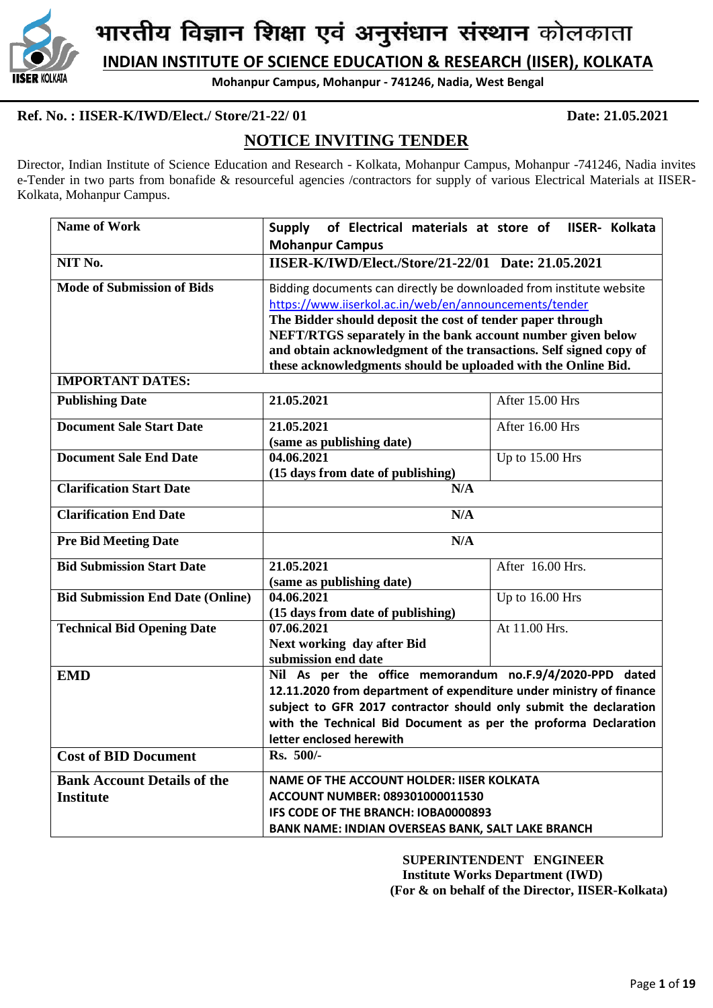

**INDIAN INSTITUTE OF SCIENCE EDUCATION & RESEARCH (IISER), KOLKATA**

**Mohanpur Campus, Mohanpur - 741246, Nadia, West Bengal**

# **Ref. No. : IISER-K/IWD/Elect./ Store/21-22/ 01 Date: 21.05.2021**

# **NOTICE INVITING TENDER**

Director, Indian Institute of Science Education and Research - Kolkata, Mohanpur Campus, Mohanpur -741246, Nadia invites e-Tender in two parts from bonafide & resourceful agencies /contractors for supply of various Electrical Materials at IISER-Kolkata, Mohanpur Campus.

| <b>Name of Work</b>                                    | of Electrical materials at store of IISER- Kolkata<br><b>Supply</b>                                                                                                                                                                                                                                                                                                                               |                  |  |  |  |
|--------------------------------------------------------|---------------------------------------------------------------------------------------------------------------------------------------------------------------------------------------------------------------------------------------------------------------------------------------------------------------------------------------------------------------------------------------------------|------------------|--|--|--|
| NIT No.                                                | <b>Mohanpur Campus</b><br>IISER-K/IWD/Elect./Store/21-22/01 Date: 21.05.2021                                                                                                                                                                                                                                                                                                                      |                  |  |  |  |
| <b>Mode of Submission of Bids</b>                      | Bidding documents can directly be downloaded from institute website<br>https://www.iiserkol.ac.in/web/en/announcements/tender<br>The Bidder should deposit the cost of tender paper through<br>NEFT/RTGS separately in the bank account number given below<br>and obtain acknowledgment of the transactions. Self signed copy of<br>these acknowledgments should be uploaded with the Online Bid. |                  |  |  |  |
| <b>IMPORTANT DATES:</b>                                |                                                                                                                                                                                                                                                                                                                                                                                                   |                  |  |  |  |
| <b>Publishing Date</b>                                 | 21.05.2021                                                                                                                                                                                                                                                                                                                                                                                        | After 15.00 Hrs  |  |  |  |
| <b>Document Sale Start Date</b>                        | 21.05.2021<br>After 16.00 Hrs<br>(same as publishing date)                                                                                                                                                                                                                                                                                                                                        |                  |  |  |  |
| <b>Document Sale End Date</b>                          | 04.06.2021<br>Up to 15.00 Hrs<br>(15 days from date of publishing)                                                                                                                                                                                                                                                                                                                                |                  |  |  |  |
| <b>Clarification Start Date</b>                        | N/A                                                                                                                                                                                                                                                                                                                                                                                               |                  |  |  |  |
| <b>Clarification End Date</b>                          | N/A                                                                                                                                                                                                                                                                                                                                                                                               |                  |  |  |  |
| <b>Pre Bid Meeting Date</b>                            | N/A                                                                                                                                                                                                                                                                                                                                                                                               |                  |  |  |  |
| <b>Bid Submission Start Date</b>                       | 21.05.2021<br>(same as publishing date)                                                                                                                                                                                                                                                                                                                                                           | After 16.00 Hrs. |  |  |  |
| <b>Bid Submission End Date (Online)</b>                | 04.06.2021<br>(15 days from date of publishing)                                                                                                                                                                                                                                                                                                                                                   | Up to 16.00 Hrs  |  |  |  |
| <b>Technical Bid Opening Date</b>                      | 07.06.2021<br>Next working day after Bid<br>submission end date                                                                                                                                                                                                                                                                                                                                   | At 11.00 Hrs.    |  |  |  |
| <b>EMD</b>                                             | Nil As per the office memorandum no.F.9/4/2020-PPD dated<br>12.11.2020 from department of expenditure under ministry of finance<br>subject to GFR 2017 contractor should only submit the declaration<br>with the Technical Bid Document as per the proforma Declaration<br>letter enclosed herewith                                                                                               |                  |  |  |  |
| <b>Cost of BID Document</b>                            | Rs. 500/-                                                                                                                                                                                                                                                                                                                                                                                         |                  |  |  |  |
| <b>Bank Account Details of the</b><br><b>Institute</b> | <b>NAME OF THE ACCOUNT HOLDER: IISER KOLKATA</b><br>ACCOUNT NUMBER: 089301000011530<br>IFS CODE OF THE BRANCH: IOBA0000893<br><b>BANK NAME: INDIAN OVERSEAS BANK, SALT LAKE BRANCH</b>                                                                                                                                                                                                            |                  |  |  |  |

 **SUPERINTENDENT ENGINEER Institute Works Department (IWD) (For & on behalf of the Director, IISER-Kolkata)**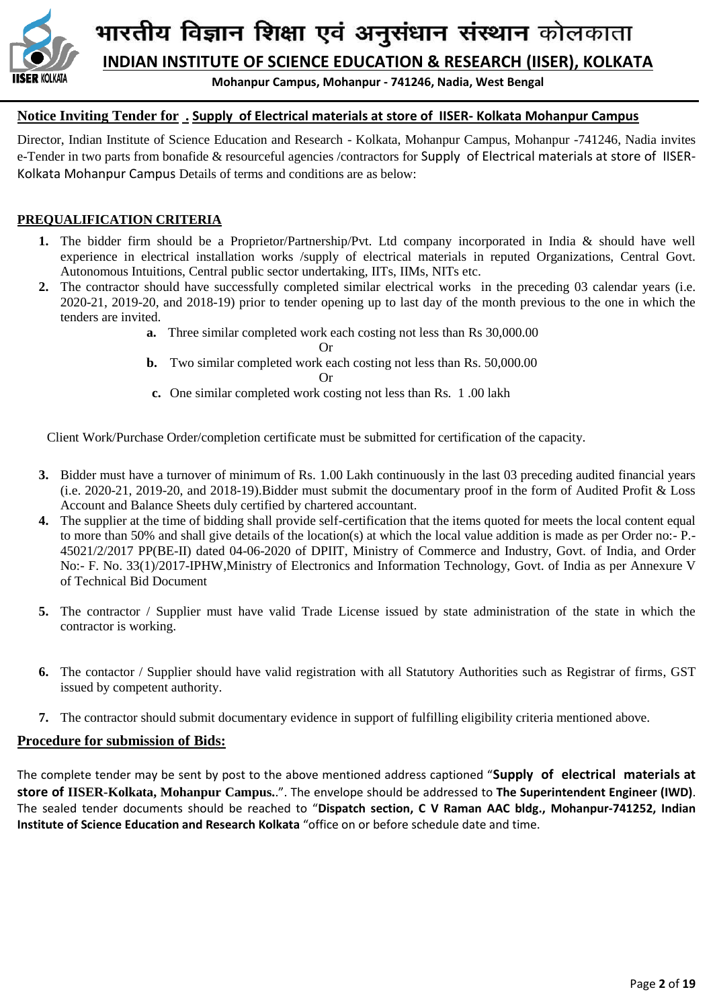

**INDIAN INSTITUTE OF SCIENCE EDUCATION & RESEARCH (IISER), KOLKATA**

**Mohanpur Campus, Mohanpur - 741246, Nadia, West Bengal**

# **Notice Inviting Tender for . Supply of Electrical materials at store of IISER- Kolkata Mohanpur Campus**

Director, Indian Institute of Science Education and Research - Kolkata, Mohanpur Campus, Mohanpur -741246, Nadia invites e-Tender in two parts from bonafide & resourceful agencies /contractors for Supply of Electrical materials at store of IISER-Kolkata Mohanpur Campus Details of terms and conditions are as below:

## **PREQUALIFICATION CRITERIA**

- **1.** The bidder firm should be a Proprietor/Partnership/Pvt. Ltd company incorporated in India & should have well experience in electrical installation works /supply of electrical materials in reputed Organizations, Central Govt. Autonomous Intuitions, Central public sector undertaking, IITs, IIMs, NITs etc.
- **2.** The contractor should have successfully completed similar electrical works in the preceding 03 calendar years (i.e. 2020-21, 2019-20, and 2018-19) prior to tender opening up to last day of the month previous to the one in which the tenders are invited.
	- **a.** Three similar completed work each costing not less than Rs 30,000.00

Or

**b.** Two similar completed work each costing not less than Rs. 50,000.00

Or

**c.** One similar completed work costing not less than Rs. 1 .00 lakh

Client Work/Purchase Order/completion certificate must be submitted for certification of the capacity.

- **3.** Bidder must have a turnover of minimum of Rs. 1.00 Lakh continuously in the last 03 preceding audited financial years (i.e. 2020-21, 2019-20, and 2018-19).Bidder must submit the documentary proof in the form of Audited Profit & Loss Account and Balance Sheets duly certified by chartered accountant.
- **4.** The supplier at the time of bidding shall provide self-certification that the items quoted for meets the local content equal to more than 50% and shall give details of the location(s) at which the local value addition is made as per Order no:- P.- 45021/2/2017 PP(BE-II) dated 04-06-2020 of DPIIT, Ministry of Commerce and Industry, Govt. of India, and Order No:- F. No. 33(1)/2017-IPHW,Ministry of Electronics and Information Technology, Govt. of India as per Annexure V of Technical Bid Document
- **5.** The contractor / Supplier must have valid Trade License issued by state administration of the state in which the contractor is working.
- **6.** The contactor / Supplier should have valid registration with all Statutory Authorities such as Registrar of firms, GST issued by competent authority.
- **7.** The contractor should submit documentary evidence in support of fulfilling eligibility criteria mentioned above.

#### **Procedure for submission of Bids:**

The complete tender may be sent by post to the above mentioned address captioned "**Supply of electrical materials at store of IISER-Kolkata, Mohanpur Campus.**.". The envelope should be addressed to **The Superintendent Engineer (IWD)**. The sealed tender documents should be reached to "**Dispatch section, C V Raman AAC bldg., Mohanpur-741252, Indian Institute of Science Education and Research Kolkata** "office on or before schedule date and time.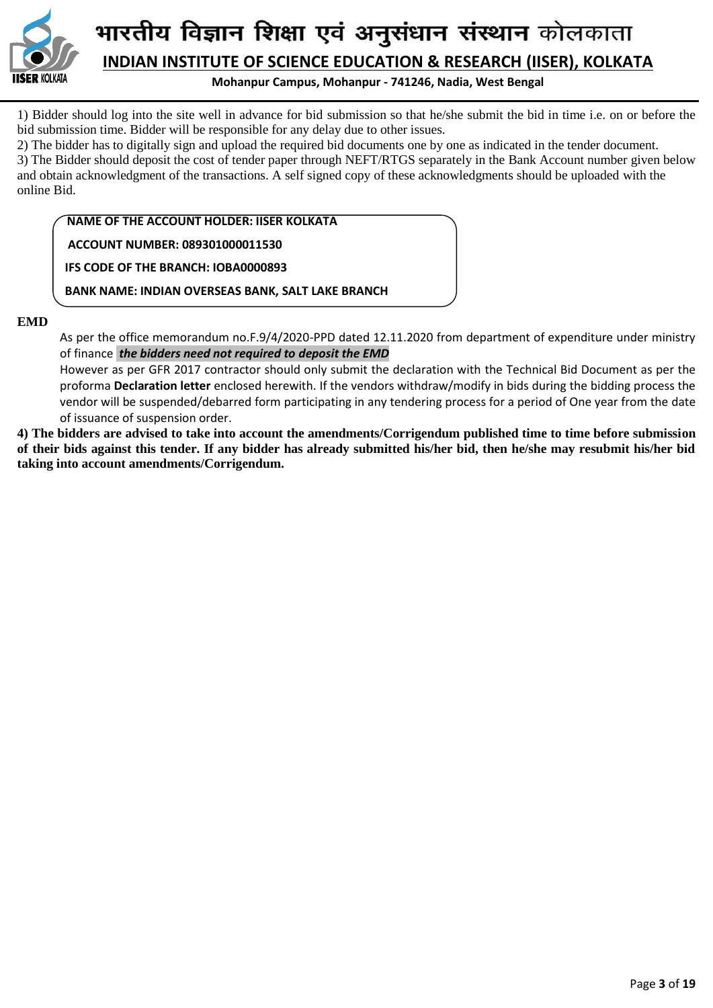

**Mohanpur Campus, Mohanpur - 741246, Nadia, West Bengal**

1) Bidder should log into the site well in advance for bid submission so that he/she submit the bid in time i.e. on or before the bid submission time. Bidder will be responsible for any delay due to other issues.

2) The bidder has to digitally sign and upload the required bid documents one by one as indicated in the tender document.

3) The Bidder should deposit the cost of tender paper through NEFT/RTGS separately in the Bank Account number given below and obtain acknowledgment of the transactions. A self signed copy of these acknowledgments should be uploaded with the online Bid.

 **NAME OF THE ACCOUNT HOLDER: IISER KOLKATA**

 **ACCOUNT NUMBER: 089301000011530**

 **IFS CODE OF THE BRANCH: IOBA0000893**

 **BANK NAME: INDIAN OVERSEAS BANK, SALT LAKE BRANCH**

#### **EMD**

As per the office memorandum no.F.9/4/2020-PPD dated 12.11.2020 from department of expenditure under ministry of finance *the bidders need not required to deposit the EMD* 

However as per GFR 2017 contractor should only submit the declaration with the Technical Bid Document as per the proforma **Declaration letter** enclosed herewith. If the vendors withdraw/modify in bids during the bidding process the vendor will be suspended/debarred form participating in any tendering process for a period of One year from the date of issuance of suspension order.

**4) The bidders are advised to take into account the amendments/Corrigendum published time to time before submission of their bids against this tender. If any bidder has already submitted his/her bid, then he/she may resubmit his/her bid taking into account amendments/Corrigendum.**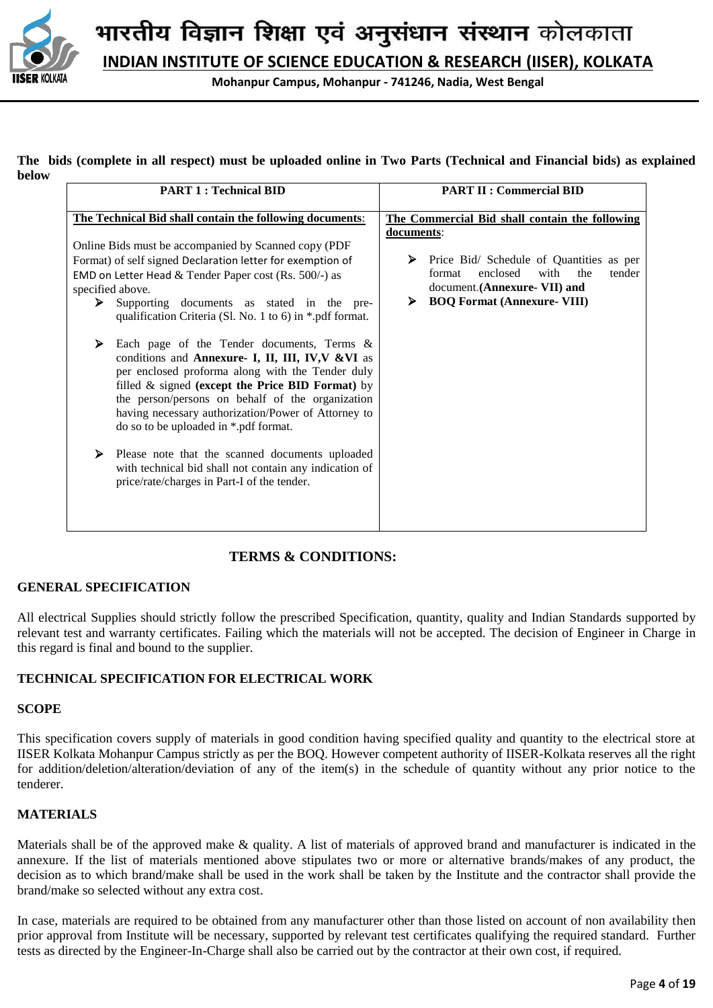

**Mohanpur Campus, Mohanpur - 741246, Nadia, West Bengal**

#### **The bids (complete in all respect) must be uploaded online in Two Parts (Technical and Financial bids) as explained below**

| <b>PART 1: Technical BID</b>                                                                                                                                                                                                                                                                                                                                                                                                                                                                                                                                                                                                                                                                                                                                                                                                                             | <b>PART II : Commercial BID</b>                                                                                                                                                           |  |  |  |
|----------------------------------------------------------------------------------------------------------------------------------------------------------------------------------------------------------------------------------------------------------------------------------------------------------------------------------------------------------------------------------------------------------------------------------------------------------------------------------------------------------------------------------------------------------------------------------------------------------------------------------------------------------------------------------------------------------------------------------------------------------------------------------------------------------------------------------------------------------|-------------------------------------------------------------------------------------------------------------------------------------------------------------------------------------------|--|--|--|
| The Technical Bid shall contain the following documents:                                                                                                                                                                                                                                                                                                                                                                                                                                                                                                                                                                                                                                                                                                                                                                                                 | The Commercial Bid shall contain the following                                                                                                                                            |  |  |  |
| Online Bids must be accompanied by Scanned copy (PDF<br>Format) of self signed Declaration letter for exemption of<br>EMD on Letter Head & Tender Paper cost (Rs. 500/-) as<br>specified above.<br>Supporting documents as stated in the pre-<br>≻<br>qualification Criteria (Sl. No. 1 to 6) in *.pdf format.<br>➤<br>Each page of the Tender documents, Terms $\&$<br>conditions and Annexure- I, II, III, IV, V&VI as<br>per enclosed proforma along with the Tender duly<br>filled $\&$ signed (except the Price BID Format) by<br>the person/persons on behalf of the organization<br>having necessary authorization/Power of Attorney to<br>do so to be uploaded in *.pdf format.<br>Please note that the scanned documents uploaded<br>➤<br>with technical bid shall not contain any indication of<br>price/rate/charges in Part-I of the tender. | <u>documents:</u><br>Price Bid/ Schedule of Quantities as per<br>➤<br>enclosed<br>with the<br>tender<br>format<br>document.(Annexure- VII) and<br><b>BOQ Format (Annexure- VIII)</b><br>➤ |  |  |  |

# **TERMS & CONDITIONS:**

#### **GENERAL SPECIFICATION**

All electrical Supplies should strictly follow the prescribed Specification, quantity, quality and Indian Standards supported by relevant test and warranty certificates. Failing which the materials will not be accepted. The decision of Engineer in Charge in this regard is final and bound to the supplier.

## **TECHNICAL SPECIFICATION FOR ELECTRICAL WORK**

#### **SCOPE**

This specification covers supply of materials in good condition having specified quality and quantity to the electrical store at IISER Kolkata Mohanpur Campus strictly as per the BOQ. However competent authority of IISER-Kolkata reserves all the right for addition/deletion/alteration/deviation of any of the item(s) in the schedule of quantity without any prior notice to the tenderer.

#### **MATERIALS**

Materials shall be of the approved make & quality. A list of materials of approved brand and manufacturer is indicated in the annexure. If the list of materials mentioned above stipulates two or more or alternative brands/makes of any product, the decision as to which brand/make shall be used in the work shall be taken by the Institute and the contractor shall provide the brand/make so selected without any extra cost.

In case, materials are required to be obtained from any manufacturer other than those listed on account of non availability then prior approval from Institute will be necessary, supported by relevant test certificates qualifying the required standard. Further tests as directed by the Engineer-In-Charge shall also be carried out by the contractor at their own cost, if required.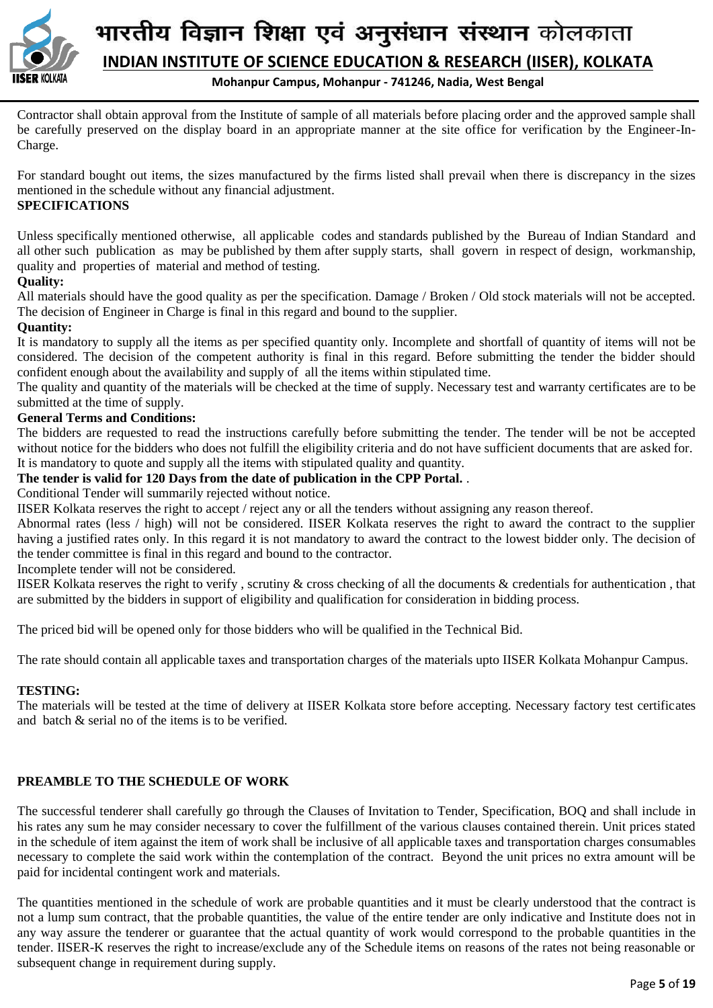

#### **Mohanpur Campus, Mohanpur - 741246, Nadia, West Bengal**

Contractor shall obtain approval from the Institute of sample of all materials before placing order and the approved sample shall be carefully preserved on the display board in an appropriate manner at the site office for verification by the Engineer-In-Charge.

For standard bought out items, the sizes manufactured by the firms listed shall prevail when there is discrepancy in the sizes mentioned in the schedule without any financial adjustment.

## **SPECIFICATIONS**

Unless specifically mentioned otherwise, all applicable codes and standards published by the Bureau of Indian Standard and all other such publication as may be published by them after supply starts, shall govern in respect of design, workmanship, quality and properties of material and method of testing.

## **Quality:**

All materials should have the good quality as per the specification. Damage / Broken / Old stock materials will not be accepted. The decision of Engineer in Charge is final in this regard and bound to the supplier.

## **Quantity:**

It is mandatory to supply all the items as per specified quantity only. Incomplete and shortfall of quantity of items will not be considered. The decision of the competent authority is final in this regard. Before submitting the tender the bidder should confident enough about the availability and supply of all the items within stipulated time.

The quality and quantity of the materials will be checked at the time of supply. Necessary test and warranty certificates are to be submitted at the time of supply.

#### **General Terms and Conditions:**

The bidders are requested to read the instructions carefully before submitting the tender. The tender will be not be accepted without notice for the bidders who does not fulfill the eligibility criteria and do not have sufficient documents that are asked for. It is mandatory to quote and supply all the items with stipulated quality and quantity.

## **The tender is valid for 120 Days from the date of publication in the CPP Portal.** .

Conditional Tender will summarily rejected without notice.

IISER Kolkata reserves the right to accept / reject any or all the tenders without assigning any reason thereof.

Abnormal rates (less / high) will not be considered. IISER Kolkata reserves the right to award the contract to the supplier having a justified rates only. In this regard it is not mandatory to award the contract to the lowest bidder only. The decision of the tender committee is final in this regard and bound to the contractor.

Incomplete tender will not be considered.

IISER Kolkata reserves the right to verify , scrutiny & cross checking of all the documents & credentials for authentication , that are submitted by the bidders in support of eligibility and qualification for consideration in bidding process.

The priced bid will be opened only for those bidders who will be qualified in the Technical Bid.

The rate should contain all applicable taxes and transportation charges of the materials upto IISER Kolkata Mohanpur Campus.

## **TESTING:**

The materials will be tested at the time of delivery at IISER Kolkata store before accepting. Necessary factory test certificates and batch & serial no of the items is to be verified.

## **PREAMBLE TO THE SCHEDULE OF WORK**

The successful tenderer shall carefully go through the Clauses of Invitation to Tender, Specification, BOQ and shall include in his rates any sum he may consider necessary to cover the fulfillment of the various clauses contained therein. Unit prices stated in the schedule of item against the item of work shall be inclusive of all applicable taxes and transportation charges consumables necessary to complete the said work within the contemplation of the contract. Beyond the unit prices no extra amount will be paid for incidental contingent work and materials.

The quantities mentioned in the schedule of work are probable quantities and it must be clearly understood that the contract is not a lump sum contract, that the probable quantities, the value of the entire tender are only indicative and Institute does not in any way assure the tenderer or guarantee that the actual quantity of work would correspond to the probable quantities in the tender. IISER-K reserves the right to increase/exclude any of the Schedule items on reasons of the rates not being reasonable or subsequent change in requirement during supply.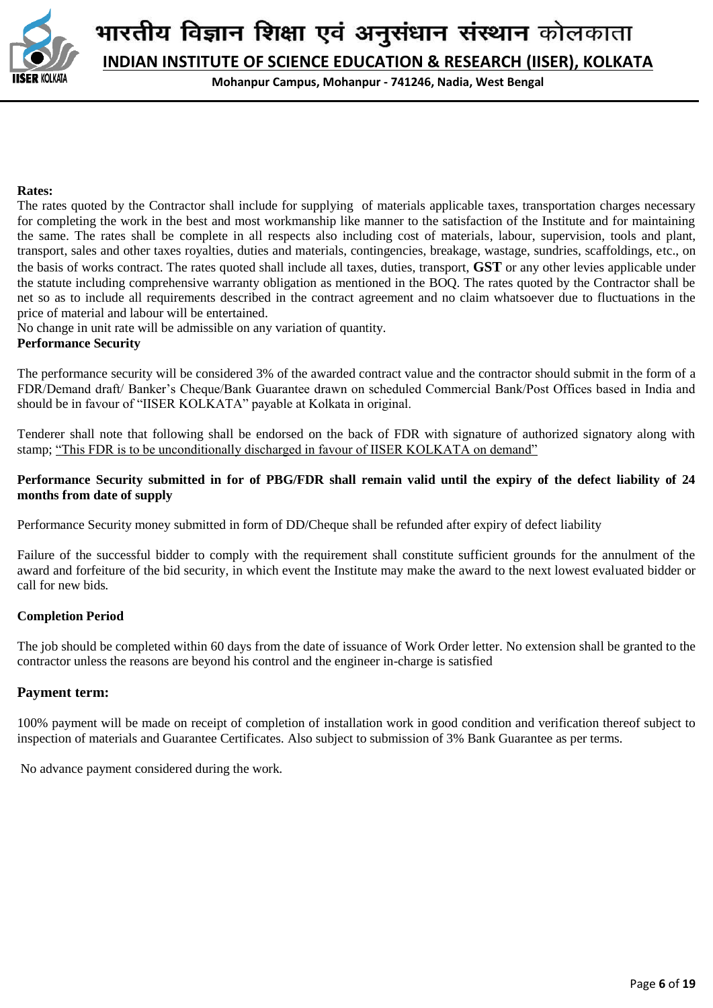

**Mohanpur Campus, Mohanpur - 741246, Nadia, West Bengal**

#### **Rates:**

The rates quoted by the Contractor shall include for supplying of materials applicable taxes, transportation charges necessary for completing the work in the best and most workmanship like manner to the satisfaction of the Institute and for maintaining the same. The rates shall be complete in all respects also including cost of materials, labour, supervision, tools and plant, transport, sales and other taxes royalties, duties and materials, contingencies, breakage, wastage, sundries, scaffoldings, etc., on the basis of works contract. The rates quoted shall include all taxes, duties, transport, **GST** or any other levies applicable under the statute including comprehensive warranty obligation as mentioned in the BOQ. The rates quoted by the Contractor shall be net so as to include all requirements described in the contract agreement and no claim whatsoever due to fluctuations in the price of material and labour will be entertained.

No change in unit rate will be admissible on any variation of quantity.

#### **Performance Security**

The performance security will be considered 3% of the awarded contract value and the contractor should submit in the form of a FDR/Demand draft/ Banker's Cheque/Bank Guarantee drawn on scheduled Commercial Bank/Post Offices based in India and should be in favour of "IISER KOLKATA" payable at Kolkata in original.

Tenderer shall note that following shall be endorsed on the back of FDR with signature of authorized signatory along with stamp; "This FDR is to be unconditionally discharged in favour of IISER KOLKATA on demand"

#### **Performance Security submitted in for of PBG/FDR shall remain valid until the expiry of the defect liability of 24 months from date of supply**

Performance Security money submitted in form of DD/Cheque shall be refunded after expiry of defect liability

Failure of the successful bidder to comply with the requirement shall constitute sufficient grounds for the annulment of the award and forfeiture of the bid security, in which event the Institute may make the award to the next lowest evaluated bidder or call for new bids*.*

#### **Completion Period**

The job should be completed within 60 days from the date of issuance of Work Order letter. No extension shall be granted to the contractor unless the reasons are beyond his control and the engineer in-charge is satisfied

#### **Payment term:**

100% payment will be made on receipt of completion of installation work in good condition and verification thereof subject to inspection of materials and Guarantee Certificates. Also subject to submission of 3% Bank Guarantee as per terms.

No advance payment considered during the work*.*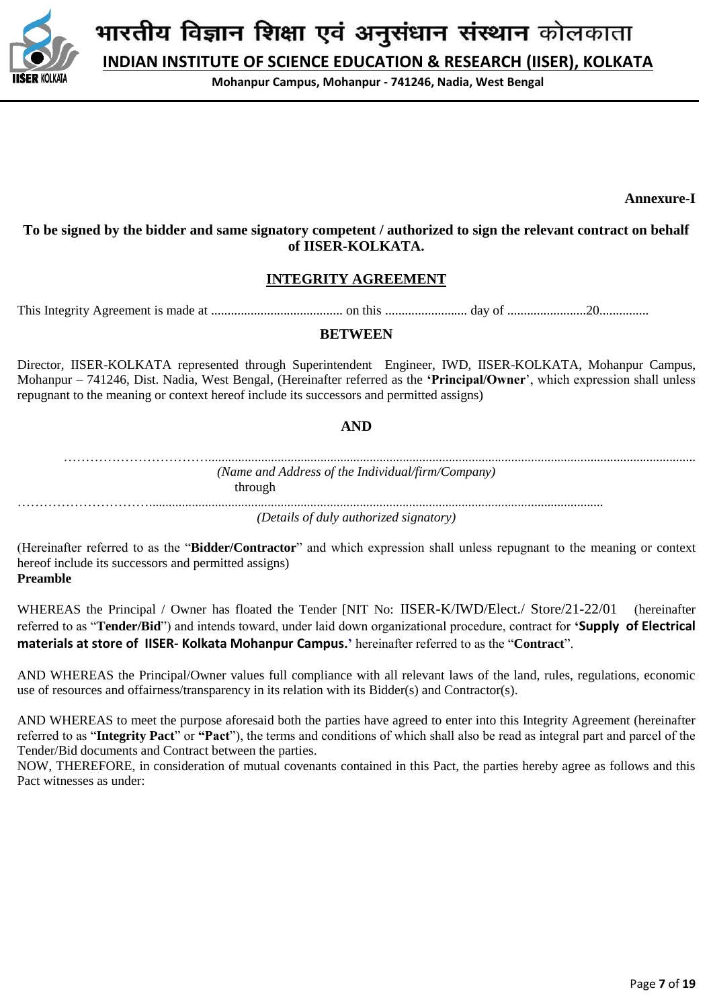

**INDIAN INSTITUTE OF SCIENCE EDUCATION & RESEARCH (IISER), KOLKATA**

**Mohanpur Campus, Mohanpur - 741246, Nadia, West Bengal**

**Annexure-I**

**To be signed by the bidder and same signatory competent / authorized to sign the relevant contract on behalf of IISER-KOLKATA.**

# **INTEGRITY AGREEMENT**

This Integrity Agreement is made at ........................................ on this ......................... day of ........................20...............

#### **BETWEEN**

Director, IISER-KOLKATA represented through Superintendent Engineer, IWD, IISER-KOLKATA, Mohanpur Campus, Mohanpur – 741246, Dist. Nadia, West Bengal, (Hereinafter referred as the **'Principal/Owner**', which expression shall unless repugnant to the meaning or context hereof include its successors and permitted assigns)

#### **AND**

…………………………….................................................................................................................................................... *(Name and Address of the Individual/firm/Company)* through ………………………….......................................................................................................................................... *(Details of duly authorized signatory)*

(Hereinafter referred to as the "**Bidder/Contractor**" and which expression shall unless repugnant to the meaning or context hereof include its successors and permitted assigns) **Preamble**

WHEREAS the Principal / Owner has floated the Tender [NIT No: IISER-K/IWD/Elect./ Store/21-22/01 (hereinafter referred to as "**Tender/Bid**") and intends toward, under laid down organizational procedure, contract for **'Supply of Electrical materials at store of IISER- Kolkata Mohanpur Campus.'** hereinafter referred to as the "**Contract**".

AND WHEREAS the Principal/Owner values full compliance with all relevant laws of the land, rules, regulations, economic use of resources and offairness/transparency in its relation with its Bidder(s) and Contractor(s).

AND WHEREAS to meet the purpose aforesaid both the parties have agreed to enter into this Integrity Agreement (hereinafter referred to as "**Integrity Pact**" or **"Pact**"), the terms and conditions of which shall also be read as integral part and parcel of the Tender/Bid documents and Contract between the parties.

NOW, THEREFORE, in consideration of mutual covenants contained in this Pact, the parties hereby agree as follows and this Pact witnesses as under: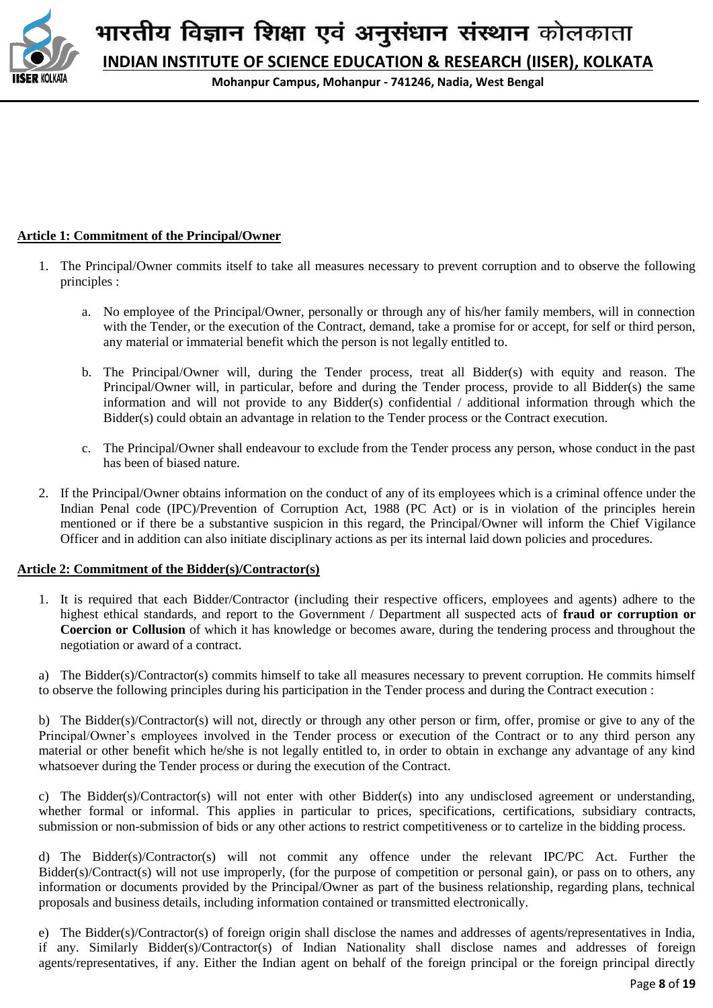

**INDIAN INSTITUTE OF SCIENCE EDUCATION & RESEARCH (IISER), KOLKATA**

**Mohanpur Campus, Mohanpur - 741246, Nadia, West Bengal**

#### **Article 1: Commitment of the Principal/Owner**

- 1. The Principal/Owner commits itself to take all measures necessary to prevent corruption and to observe the following principles :
	- a. No employee of the Principal/Owner, personally or through any of his/her family members, will in connection with the Tender, or the execution of the Contract, demand, take a promise for or accept, for self or third person, any material or immaterial benefit which the person is not legally entitled to.
	- b. The Principal/Owner will, during the Tender process, treat all Bidder(s) with equity and reason. The Principal/Owner will, in particular, before and during the Tender process, provide to all Bidder(s) the same information and will not provide to any Bidder(s) confidential / additional information through which the Bidder(s) could obtain an advantage in relation to the Tender process or the Contract execution.
	- c. The Principal/Owner shall endeavour to exclude from the Tender process any person, whose conduct in the past has been of biased nature.
- 2. If the Principal/Owner obtains information on the conduct of any of its employees which is a criminal offence under the Indian Penal code (IPC)/Prevention of Corruption Act, 1988 (PC Act) or is in violation of the principles herein mentioned or if there be a substantive suspicion in this regard, the Principal/Owner will inform the Chief Vigilance Officer and in addition can also initiate disciplinary actions as per its internal laid down policies and procedures.

#### **Article 2: Commitment of the Bidder(s)/Contractor(s)**

1. It is required that each Bidder/Contractor (including their respective officers, employees and agents) adhere to the highest ethical standards, and report to the Government / Department all suspected acts of **fraud or corruption or Coercion or Collusion** of which it has knowledge or becomes aware, during the tendering process and throughout the negotiation or award of a contract.

a) The Bidder(s)/Contractor(s) commits himself to take all measures necessary to prevent corruption. He commits himself to observe the following principles during his participation in the Tender process and during the Contract execution :

b) The Bidder(s)/Contractor(s) will not, directly or through any other person or firm, offer, promise or give to any of the Principal/Owner's employees involved in the Tender process or execution of the Contract or to any third person any material or other benefit which he/she is not legally entitled to, in order to obtain in exchange any advantage of any kind whatsoever during the Tender process or during the execution of the Contract.

c) The Bidder(s)/Contractor(s) will not enter with other Bidder(s) into any undisclosed agreement or understanding, whether formal or informal. This applies in particular to prices, specifications, certifications, subsidiary contracts, submission or non-submission of bids or any other actions to restrict competitiveness or to cartelize in the bidding process.

d) The Bidder(s)/Contractor(s) will not commit any offence under the relevant IPC/PC Act. Further the Bidder(s)/Contract(s) will not use improperly, (for the purpose of competition or personal gain), or pass on to others, any information or documents provided by the Principal/Owner as part of the business relationship, regarding plans, technical proposals and business details, including information contained or transmitted electronically.

e) The Bidder(s)/Contractor(s) of foreign origin shall disclose the names and addresses of agents/representatives in India, if any. Similarly Bidder(s)/Contractor(s) of Indian Nationality shall disclose names and addresses of foreign agents/representatives, if any. Either the Indian agent on behalf of the foreign principal or the foreign principal directly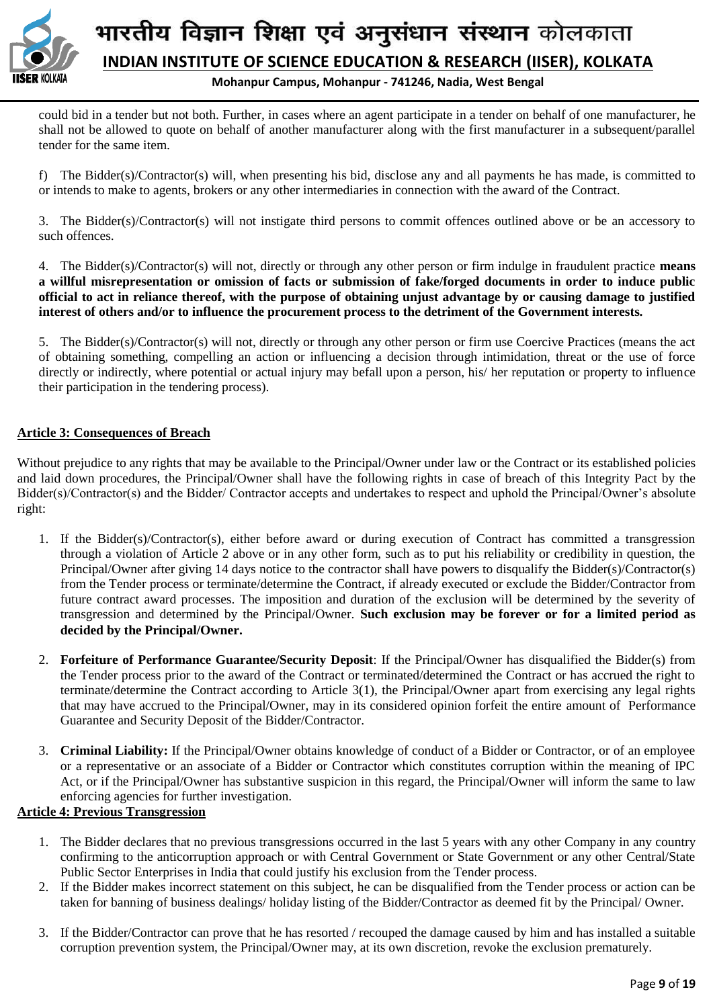

#### **Mohanpur Campus, Mohanpur - 741246, Nadia, West Bengal**

could bid in a tender but not both. Further, in cases where an agent participate in a tender on behalf of one manufacturer, he shall not be allowed to quote on behalf of another manufacturer along with the first manufacturer in a subsequent/parallel tender for the same item.

f) The Bidder(s)/Contractor(s) will, when presenting his bid, disclose any and all payments he has made, is committed to or intends to make to agents, brokers or any other intermediaries in connection with the award of the Contract.

3. The Bidder(s)/Contractor(s) will not instigate third persons to commit offences outlined above or be an accessory to such offences.

4. The Bidder(s)/Contractor(s) will not, directly or through any other person or firm indulge in fraudulent practice **means a willful misrepresentation or omission of facts or submission of fake/forged documents in order to induce public official to act in reliance thereof, with the purpose of obtaining unjust advantage by or causing damage to justified interest of others and/or to influence the procurement process to the detriment of the Government interests.**

5. The Bidder(s)/Contractor(s) will not, directly or through any other person or firm use Coercive Practices (means the act of obtaining something, compelling an action or influencing a decision through intimidation, threat or the use of force directly or indirectly, where potential or actual injury may befall upon a person, his/ her reputation or property to influence their participation in the tendering process).

#### **Article 3: Consequences of Breach**

Without prejudice to any rights that may be available to the Principal/Owner under law or the Contract or its established policies and laid down procedures, the Principal/Owner shall have the following rights in case of breach of this Integrity Pact by the Bidder(s)/Contractor(s) and the Bidder/ Contractor accepts and undertakes to respect and uphold the Principal/Owner's absolute right:

- 1. If the Bidder(s)/Contractor(s), either before award or during execution of Contract has committed a transgression through a violation of Article 2 above or in any other form, such as to put his reliability or credibility in question, the Principal/Owner after giving 14 days notice to the contractor shall have powers to disqualify the Bidder(s)/Contractor(s) from the Tender process or terminate/determine the Contract, if already executed or exclude the Bidder/Contractor from future contract award processes. The imposition and duration of the exclusion will be determined by the severity of transgression and determined by the Principal/Owner. **Such exclusion may be forever or for a limited period as decided by the Principal/Owner.**
- 2. **Forfeiture of Performance Guarantee/Security Deposit**: If the Principal/Owner has disqualified the Bidder(s) from the Tender process prior to the award of the Contract or terminated/determined the Contract or has accrued the right to terminate/determine the Contract according to Article 3(1), the Principal/Owner apart from exercising any legal rights that may have accrued to the Principal/Owner, may in its considered opinion forfeit the entire amount of Performance Guarantee and Security Deposit of the Bidder/Contractor.
- 3. **Criminal Liability:** If the Principal/Owner obtains knowledge of conduct of a Bidder or Contractor, or of an employee or a representative or an associate of a Bidder or Contractor which constitutes corruption within the meaning of IPC Act, or if the Principal/Owner has substantive suspicion in this regard, the Principal/Owner will inform the same to law enforcing agencies for further investigation.

#### **Article 4: Previous Transgression**

- 1. The Bidder declares that no previous transgressions occurred in the last 5 years with any other Company in any country confirming to the anticorruption approach or with Central Government or State Government or any other Central/State Public Sector Enterprises in India that could justify his exclusion from the Tender process.
- 2. If the Bidder makes incorrect statement on this subject, he can be disqualified from the Tender process or action can be taken for banning of business dealings/ holiday listing of the Bidder/Contractor as deemed fit by the Principal/ Owner.
- 3. If the Bidder/Contractor can prove that he has resorted / recouped the damage caused by him and has installed a suitable corruption prevention system, the Principal/Owner may, at its own discretion, revoke the exclusion prematurely.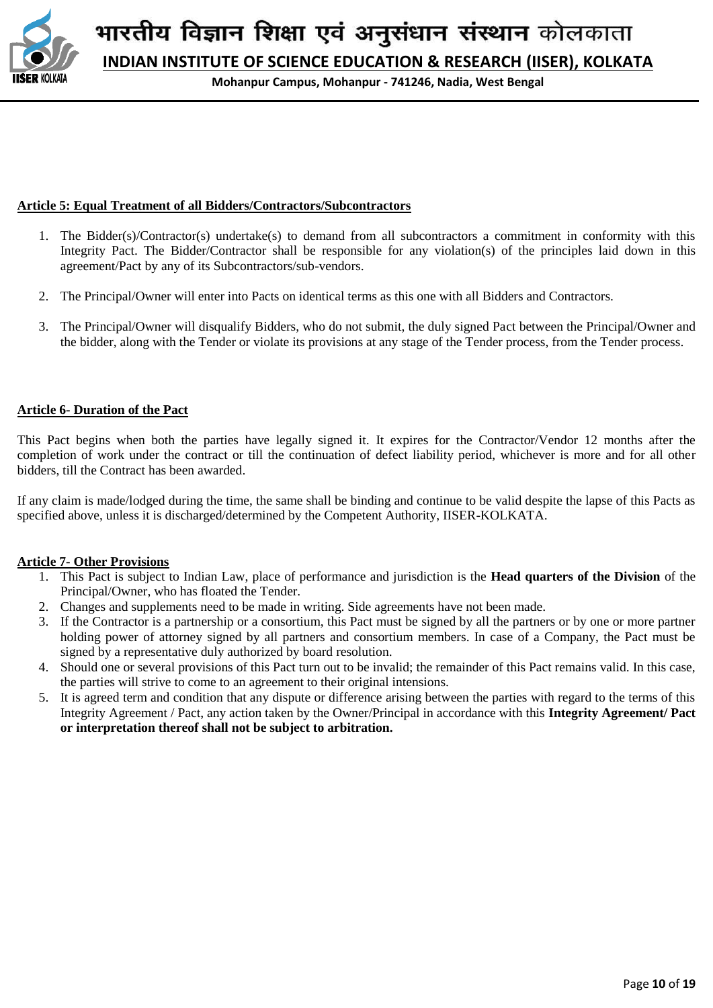

**Mohanpur Campus, Mohanpur - 741246, Nadia, West Bengal**

#### **Article 5: Equal Treatment of all Bidders/Contractors/Subcontractors**

- 1. The Bidder(s)/Contractor(s) undertake(s) to demand from all subcontractors a commitment in conformity with this Integrity Pact. The Bidder/Contractor shall be responsible for any violation(s) of the principles laid down in this agreement/Pact by any of its Subcontractors/sub-vendors.
- 2. The Principal/Owner will enter into Pacts on identical terms as this one with all Bidders and Contractors.
- 3. The Principal/Owner will disqualify Bidders, who do not submit, the duly signed Pact between the Principal/Owner and the bidder, along with the Tender or violate its provisions at any stage of the Tender process, from the Tender process.

## **Article 6- Duration of the Pact**

This Pact begins when both the parties have legally signed it. It expires for the Contractor/Vendor 12 months after the completion of work under the contract or till the continuation of defect liability period, whichever is more and for all other bidders, till the Contract has been awarded.

If any claim is made/lodged during the time, the same shall be binding and continue to be valid despite the lapse of this Pacts as specified above, unless it is discharged/determined by the Competent Authority, IISER-KOLKATA.

#### **Article 7- Other Provisions**

- 1. This Pact is subject to Indian Law, place of performance and jurisdiction is the **Head quarters of the Division** of the Principal/Owner, who has floated the Tender.
- 2. Changes and supplements need to be made in writing. Side agreements have not been made.
- 3. If the Contractor is a partnership or a consortium, this Pact must be signed by all the partners or by one or more partner holding power of attorney signed by all partners and consortium members. In case of a Company, the Pact must be signed by a representative duly authorized by board resolution.
- 4. Should one or several provisions of this Pact turn out to be invalid; the remainder of this Pact remains valid. In this case, the parties will strive to come to an agreement to their original intensions.
- 5. It is agreed term and condition that any dispute or difference arising between the parties with regard to the terms of this Integrity Agreement / Pact, any action taken by the Owner/Principal in accordance with this **Integrity Agreement/ Pact or interpretation thereof shall not be subject to arbitration.**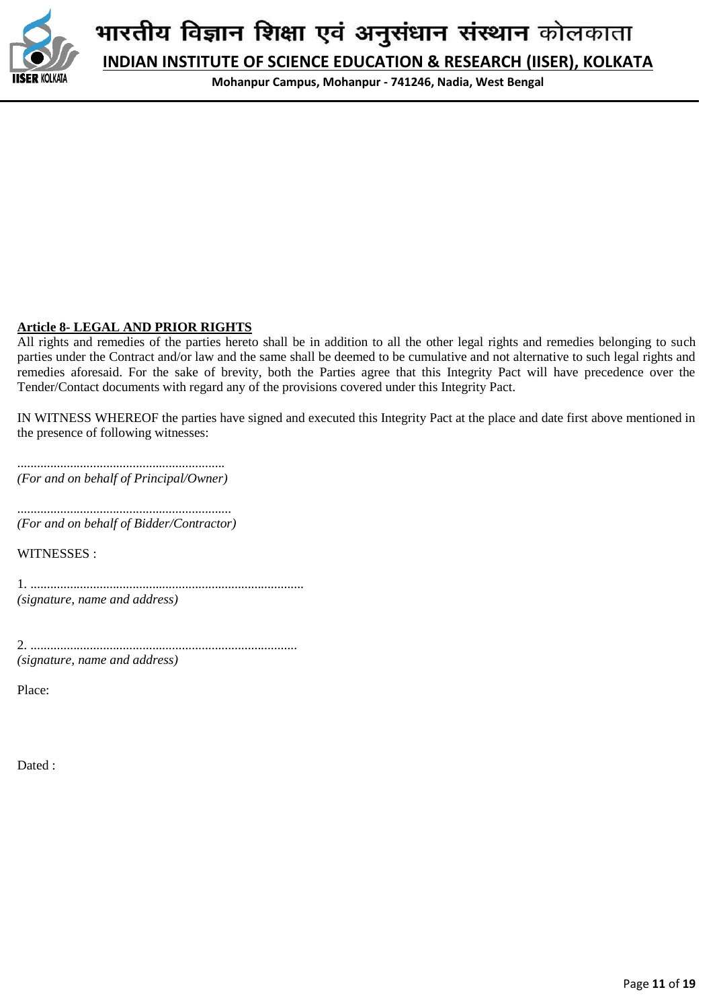

**INDIAN INSTITUTE OF SCIENCE EDUCATION & RESEARCH (IISER), KOLKATA**

**Mohanpur Campus, Mohanpur - 741246, Nadia, West Bengal**

#### **Article 8- LEGAL AND PRIOR RIGHTS**

All rights and remedies of the parties hereto shall be in addition to all the other legal rights and remedies belonging to such parties under the Contract and/or law and the same shall be deemed to be cumulative and not alternative to such legal rights and remedies aforesaid. For the sake of brevity, both the Parties agree that this Integrity Pact will have precedence over the Tender/Contact documents with regard any of the provisions covered under this Integrity Pact.

IN WITNESS WHEREOF the parties have signed and executed this Integrity Pact at the place and date first above mentioned in the presence of following witnesses:

............................................................... *(For and on behalf of Principal/Owner)*

................................................................. *(For and on behalf of Bidder/Contractor)*

WITNESSES :

1. ................................................................................... *(signature, name and address)*

2. ................................................................................. *(signature, name and address)*

Place:

Dated :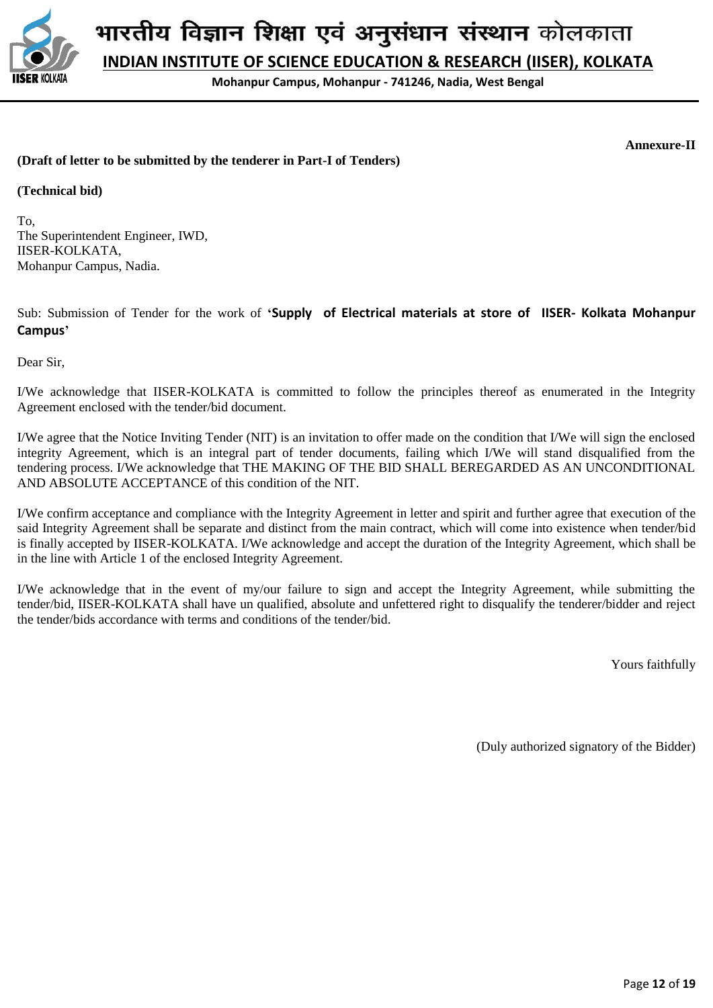

**INDIAN INSTITUTE OF SCIENCE EDUCATION & RESEARCH (IISER), KOLKATA**

**Mohanpur Campus, Mohanpur - 741246, Nadia, West Bengal**

**Annexure-II**

#### **(Draft of letter to be submitted by the tenderer in Part-I of Tenders)**

**(Technical bid)**

To, The Superintendent Engineer, IWD, IISER-KOLKATA, Mohanpur Campus, Nadia.

Sub: Submission of Tender for the work of **'Supply of Electrical materials at store of IISER- Kolkata Mohanpur Campus'**

Dear Sir,

I/We acknowledge that IISER-KOLKATA is committed to follow the principles thereof as enumerated in the Integrity Agreement enclosed with the tender/bid document.

I/We agree that the Notice Inviting Tender (NIT) is an invitation to offer made on the condition that I/We will sign the enclosed integrity Agreement, which is an integral part of tender documents, failing which I/We will stand disqualified from the tendering process. I/We acknowledge that THE MAKING OF THE BID SHALL BEREGARDED AS AN UNCONDITIONAL AND ABSOLUTE ACCEPTANCE of this condition of the NIT.

I/We confirm acceptance and compliance with the Integrity Agreement in letter and spirit and further agree that execution of the said Integrity Agreement shall be separate and distinct from the main contract, which will come into existence when tender/bid is finally accepted by IISER-KOLKATA. I/We acknowledge and accept the duration of the Integrity Agreement, which shall be in the line with Article 1 of the enclosed Integrity Agreement.

I/We acknowledge that in the event of my/our failure to sign and accept the Integrity Agreement, while submitting the tender/bid, IISER-KOLKATA shall have un qualified, absolute and unfettered right to disqualify the tenderer/bidder and reject the tender/bids accordance with terms and conditions of the tender/bid.

Yours faithfully

(Duly authorized signatory of the Bidder)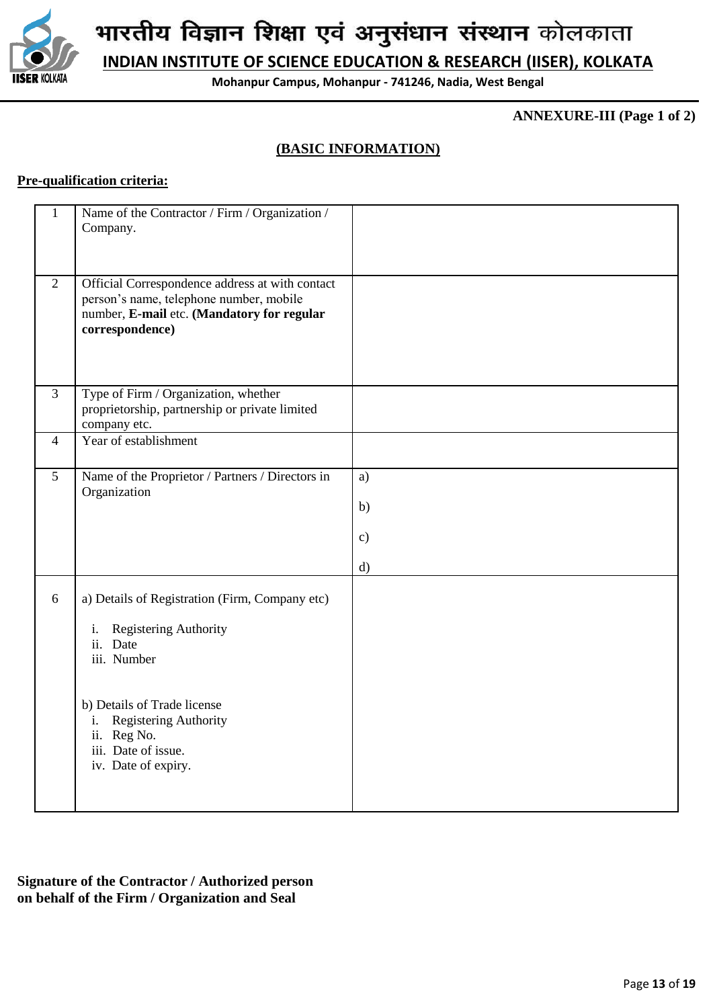

**INDIAN INSTITUTE OF SCIENCE EDUCATION & RESEARCH (IISER), KOLKATA**

**Mohanpur Campus, Mohanpur - 741246, Nadia, West Bengal**

**ANNEXURE-III (Page 1 of 2)**

# **(BASIC INFORMATION)**

# **Pre-qualification criteria:**

| 1              | Name of the Contractor / Firm / Organization /<br>Company.                                                                                                  |                           |
|----------------|-------------------------------------------------------------------------------------------------------------------------------------------------------------|---------------------------|
| $\overline{2}$ | Official Correspondence address at with contact<br>person's name, telephone number, mobile<br>number, E-mail etc. (Mandatory for regular<br>correspondence) |                           |
| $\overline{3}$ | Type of Firm / Organization, whether<br>proprietorship, partnership or private limited<br>company etc.                                                      |                           |
| 4              | Year of establishment                                                                                                                                       |                           |
| 5              | Name of the Proprietor / Partners / Directors in<br>Organization                                                                                            | a)<br>b)<br>$\mathbf{c})$ |
|                |                                                                                                                                                             | $\mathbf{d}$              |
| 6              | a) Details of Registration (Firm, Company etc)<br>Registering Authority<br>i.<br>ii. Date<br>iii. Number                                                    |                           |
|                | b) Details of Trade license<br>Registering Authority<br>i.<br>ii. Reg No.<br>iii. Date of issue.<br>iv. Date of expiry.                                     |                           |

**Signature of the Contractor / Authorized person on behalf of the Firm / Organization and Seal**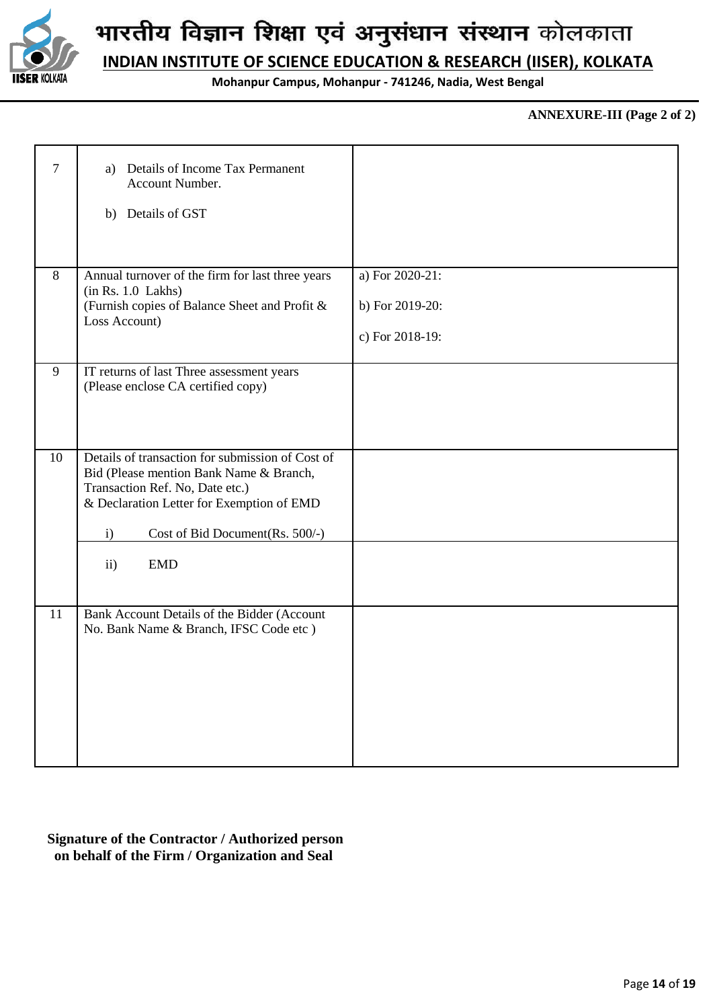

**INDIAN INSTITUTE OF SCIENCE EDUCATION & RESEARCH (IISER), KOLKATA**

**Mohanpur Campus, Mohanpur - 741246, Nadia, West Bengal**

#### **ANNEXURE-III (Page 2 of 2)**

| $\overline{7}$ | a) Details of Income Tax Permanent<br>Account Number.                                       |                 |
|----------------|---------------------------------------------------------------------------------------------|-----------------|
|                | b) Details of GST                                                                           |                 |
|                |                                                                                             |                 |
| 8              | Annual turnover of the firm for last three years<br>(in Rs. 1.0 Lakhs)                      | a) For 2020-21: |
|                | (Furnish copies of Balance Sheet and Profit &<br>Loss Account)                              | b) For 2019-20: |
|                |                                                                                             | c) For 2018-19: |
| 9              | IT returns of last Three assessment years<br>(Please enclose CA certified copy)             |                 |
|                |                                                                                             |                 |
|                |                                                                                             |                 |
| 10             | Details of transaction for submission of Cost of<br>Bid (Please mention Bank Name & Branch, |                 |
|                | Transaction Ref. No, Date etc.)<br>& Declaration Letter for Exemption of EMD                |                 |
|                | Cost of Bid Document(Rs. 500/-)<br>$\mathbf{i}$                                             |                 |
|                | <b>EMD</b><br>$\mathbf{ii}$                                                                 |                 |
|                |                                                                                             |                 |
| 11             | Bank Account Details of the Bidder (Account<br>No. Bank Name & Branch, IFSC Code etc )      |                 |
|                |                                                                                             |                 |
|                |                                                                                             |                 |
|                |                                                                                             |                 |
|                |                                                                                             |                 |

# **Signature of the Contractor / Authorized person on behalf of the Firm / Organization and Seal**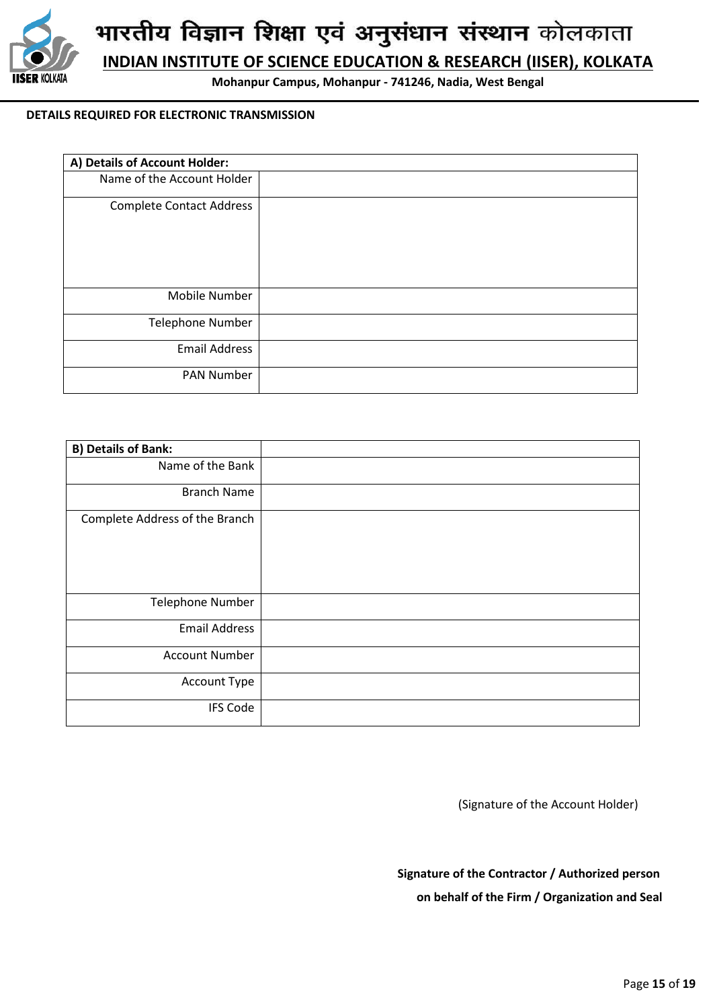

**INDIAN INSTITUTE OF SCIENCE EDUCATION & RESEARCH (IISER), KOLKATA**

**Mohanpur Campus, Mohanpur - 741246, Nadia, West Bengal**

#### **DETAILS REQUIRED FOR ELECTRONIC TRANSMISSION**

| A) Details of Account Holder:   |  |  |  |  |
|---------------------------------|--|--|--|--|
| Name of the Account Holder      |  |  |  |  |
| <b>Complete Contact Address</b> |  |  |  |  |
| Mobile Number                   |  |  |  |  |
| Telephone Number                |  |  |  |  |
| <b>Email Address</b>            |  |  |  |  |
| <b>PAN Number</b>               |  |  |  |  |

| <b>B) Details of Bank:</b>     |  |
|--------------------------------|--|
| Name of the Bank               |  |
| <b>Branch Name</b>             |  |
| Complete Address of the Branch |  |
| Telephone Number               |  |
| <b>Email Address</b>           |  |
| <b>Account Number</b>          |  |
| Account Type                   |  |
| <b>IFS Code</b>                |  |

(Signature of the Account Holder)

 **Signature of the Contractor / Authorized person on behalf of the Firm / Organization and Seal**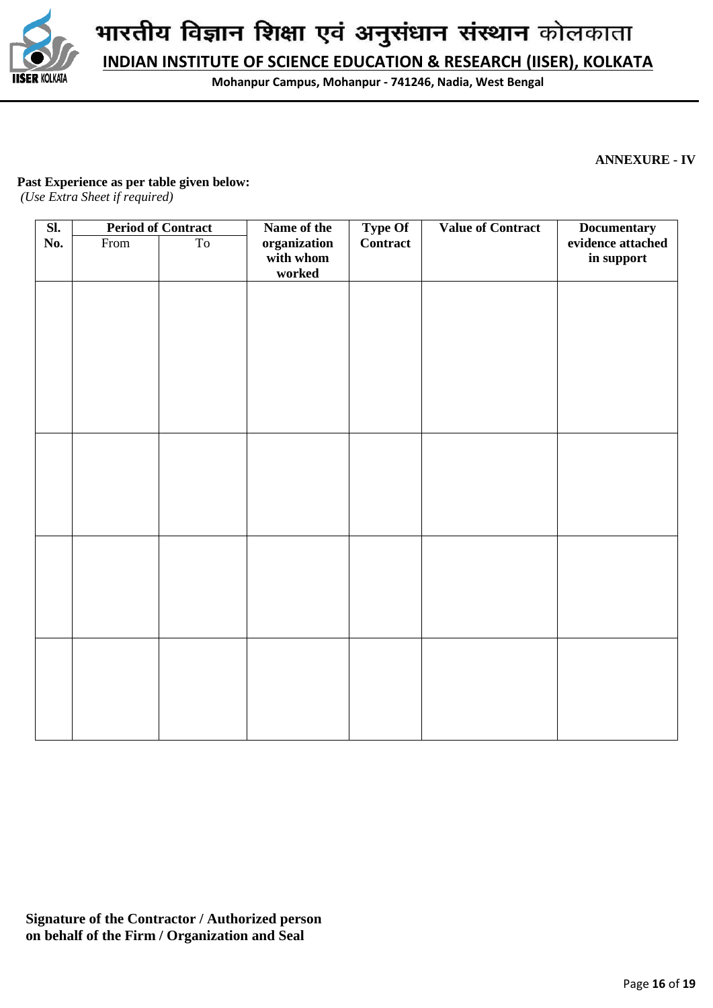

**INDIAN INSTITUTE OF SCIENCE EDUCATION & RESEARCH (IISER), KOLKATA**

**Mohanpur Campus, Mohanpur - 741246, Nadia, West Bengal**

**ANNEXURE - IV**

#### **Past Experience as per table given below:**

*(Use Extra Sheet if required)*

| $\overline{\text{SL}}$ | <b>Period of Contract</b> |    | Name of the                         | <b>Type Of</b>  | <b>Value of Contract</b> | <b>Documentary</b>              |  |
|------------------------|---------------------------|----|-------------------------------------|-----------------|--------------------------|---------------------------------|--|
| No.                    | From                      | To | organization<br>with whom<br>worked | <b>Contract</b> |                          | evidence attached<br>in support |  |
|                        |                           |    |                                     |                 |                          |                                 |  |
|                        |                           |    |                                     |                 |                          |                                 |  |
|                        |                           |    |                                     |                 |                          |                                 |  |
|                        |                           |    |                                     |                 |                          |                                 |  |
|                        |                           |    |                                     |                 |                          |                                 |  |
|                        |                           |    |                                     |                 |                          |                                 |  |
|                        |                           |    |                                     |                 |                          |                                 |  |
|                        |                           |    |                                     |                 |                          |                                 |  |
|                        |                           |    |                                     |                 |                          |                                 |  |
|                        |                           |    |                                     |                 |                          |                                 |  |
|                        |                           |    |                                     |                 |                          |                                 |  |
|                        |                           |    |                                     |                 |                          |                                 |  |
|                        |                           |    |                                     |                 |                          |                                 |  |

**Signature of the Contractor / Authorized person on behalf of the Firm / Organization and Seal**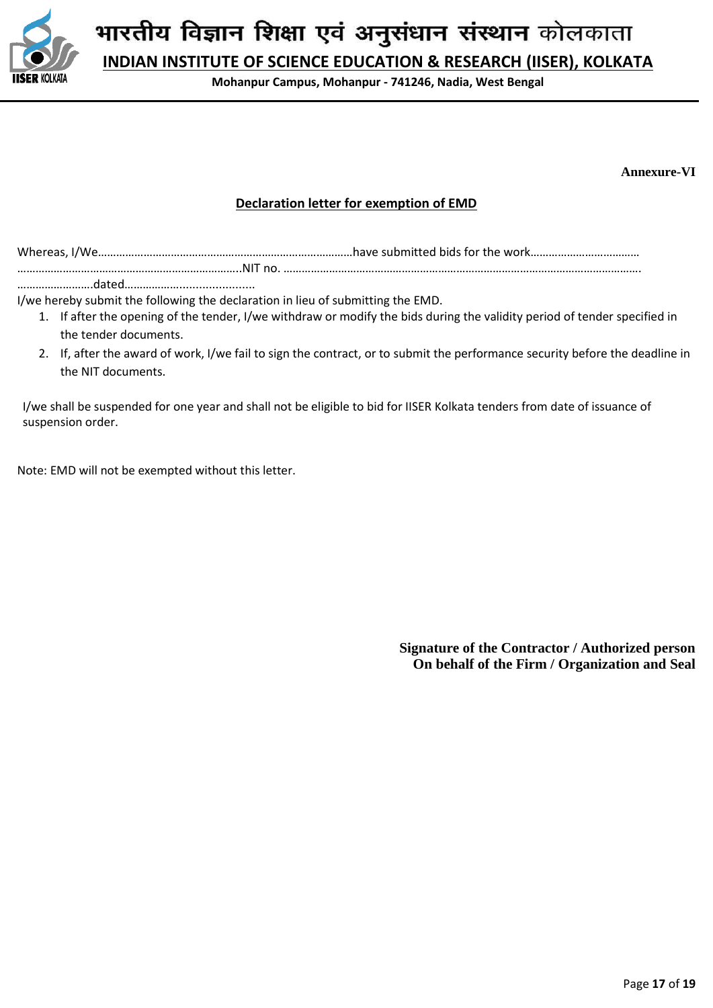

**INDIAN INSTITUTE OF SCIENCE EDUCATION & RESEARCH (IISER), KOLKATA**

**Mohanpur Campus, Mohanpur - 741246, Nadia, West Bengal**

**Annexure-VI**

# **Declaration letter for exemption of EMD**

Whereas, I/We…………………………………………………………………………have submitted bids for the work………………………………

………………………………………………………………..NIT no. ………………………………………………………………………………………………………. …………………….dated……………….......................

I/we hereby submit the following the declaration in lieu of submitting the EMD.

- 1. If after the opening of the tender, I/we withdraw or modify the bids during the validity period of tender specified in the tender documents.
	- 2. If, after the award of work, I/we fail to sign the contract, or to submit the performance security before the deadline in the NIT documents.

I/we shall be suspended for one year and shall not be eligible to bid for IISER Kolkata tenders from date of issuance of suspension order.

Note: EMD will not be exempted without this letter.

**Signature of the Contractor / Authorized person On behalf of the Firm / Organization and Seal**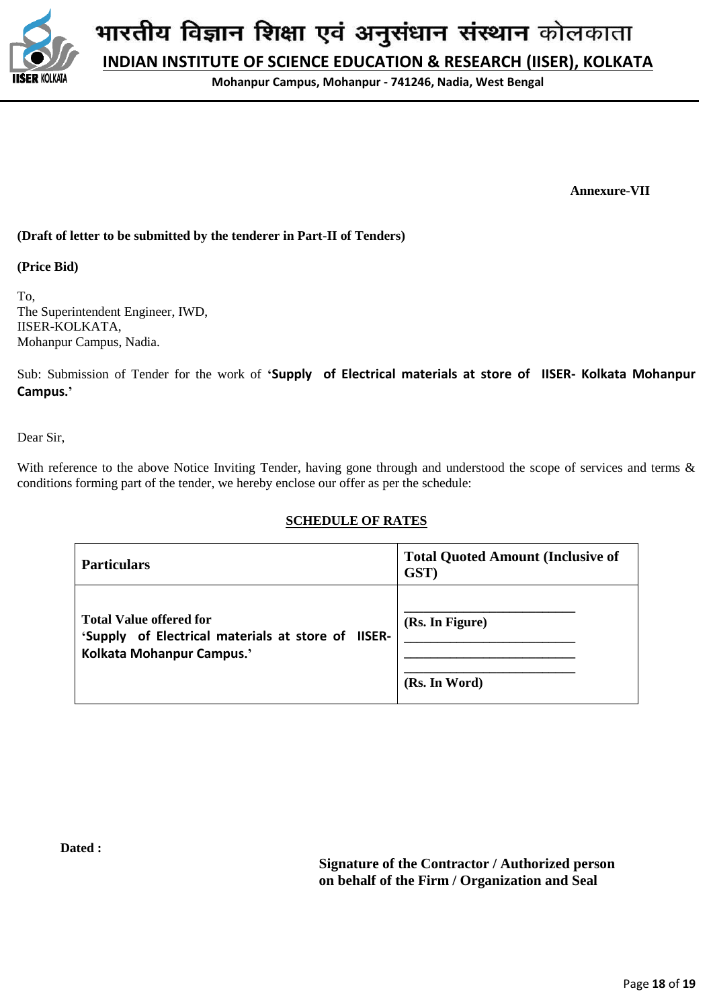

**INDIAN INSTITUTE OF SCIENCE EDUCATION & RESEARCH (IISER), KOLKATA**

**Mohanpur Campus, Mohanpur - 741246, Nadia, West Bengal**

 **Annexure-VII**

#### **(Draft of letter to be submitted by the tenderer in Part-II of Tenders)**

**(Price Bid)**

To, The Superintendent Engineer, IWD, IISER-KOLKATA, Mohanpur Campus, Nadia.

Sub: Submission of Tender for the work of **'Supply of Electrical materials at store of IISER- Kolkata Mohanpur Campus.'**

Dear Sir,

With reference to the above Notice Inviting Tender, having gone through and understood the scope of services and terms & conditions forming part of the tender, we hereby enclose our offer as per the schedule:

#### **SCHEDULE OF RATES**

| <b>Particulars</b>                                                                                                | <b>Total Quoted Amount (Inclusive of</b><br>GST) |
|-------------------------------------------------------------------------------------------------------------------|--------------------------------------------------|
| <b>Total Value offered for</b><br>'Supply of Electrical materials at store of IISER-<br>Kolkata Mohanpur Campus.' | (Rs. In Figure)<br>(Rs. In Word)                 |

**Dated :** 

**Signature of the Contractor / Authorized person on behalf of the Firm / Organization and Seal**